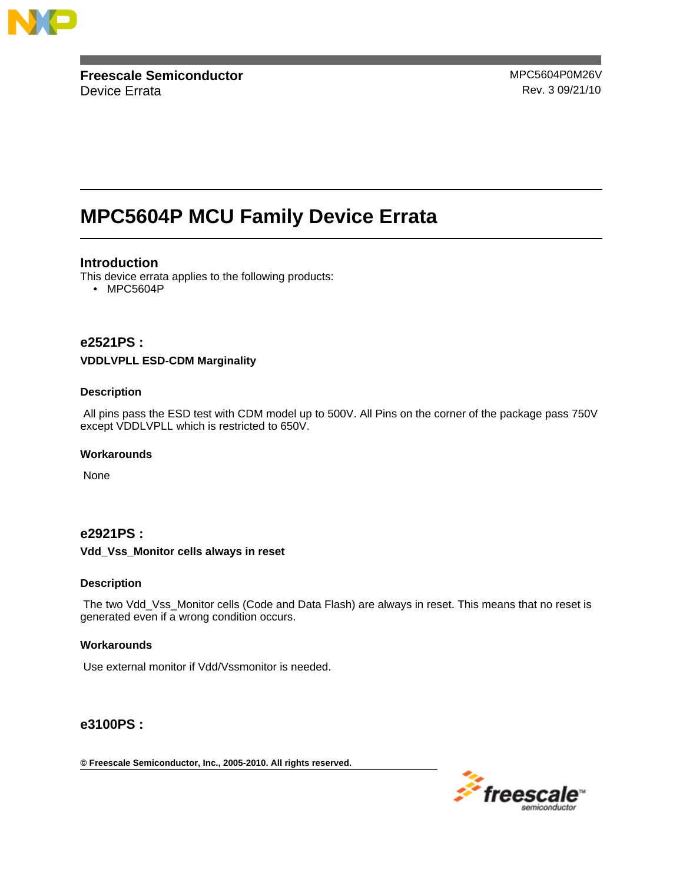

**Freescale Semiconductor** MPC5604P0M26V Device Errata **Rev. 3 09/21/10** 

# **MPC5604P MCU Family Device Errata**

# **Introduction**

This device errata applies to the following products:

• MPC5604P

# **e2521PS :**

### **VDDLVPLL ESD-CDM Marginality**

### **Description**

All pins pass the ESD test with CDM model up to 500V. All Pins on the corner of the package pass 750V except VDDLVPLL which is restricted to 650V.

### **Workarounds**

None

# **e2921PS :**

### **Vdd\_Vss\_Monitor cells always in reset**

### **Description**

The two Vdd\_Vss\_Monitor cells (Code and Data Flash) are always in reset. This means that no reset is generated even if a wrong condition occurs.

### **Workarounds**

Use external monitor if Vdd/Vssmonitor is needed.

# **e3100PS :**

**© Freescale Semiconductor, Inc., 2005-2010. All rights reserved.**

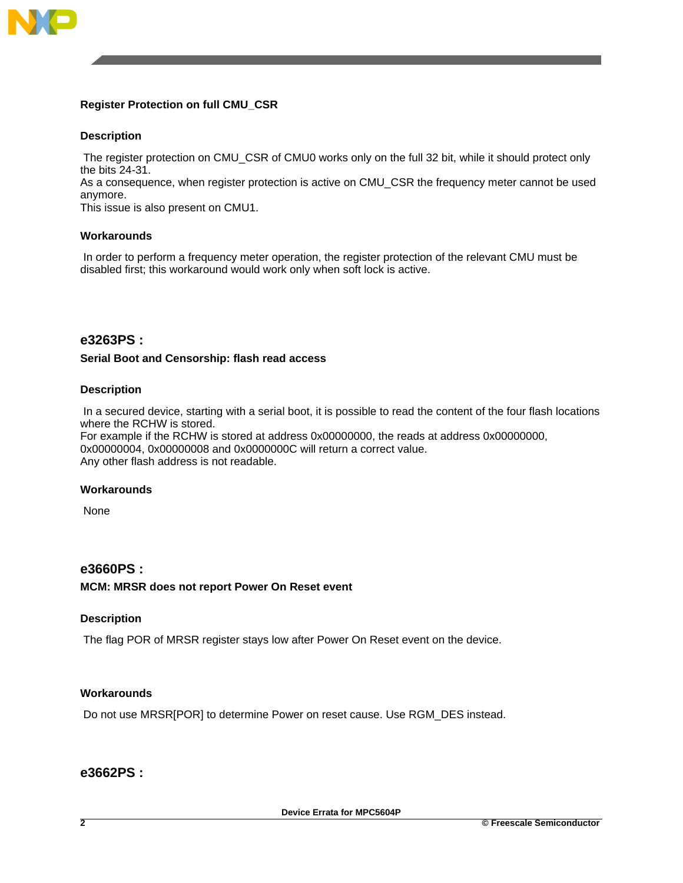

# **Register Protection on full CMU\_CSR**

# **Description**

The register protection on CMU\_CSR of CMU0 works only on the full 32 bit, while it should protect only the bits 24-31.

As a consequence, when register protection is active on CMU\_CSR the frequency meter cannot be used anymore.

This issue is also present on CMU1.

### **Workarounds**

In order to perform a frequency meter operation, the register protection of the relevant CMU must be disabled first; this workaround would work only when soft lock is active.

# **e3263PS :**

### **Serial Boot and Censorship: flash read access**

### **Description**

In a secured device, starting with a serial boot, it is possible to read the content of the four flash locations where the RCHW is stored.

For example if the RCHW is stored at address 0x00000000, the reads at address 0x00000000, 0x00000004, 0x00000008 and 0x0000000C will return a correct value. Any other flash address is not readable.

#### **Workarounds**

None

## **e3660PS :**

**MCM: MRSR does not report Power On Reset event**

### **Description**

The flag POR of MRSR register stays low after Power On Reset event on the device.

# **Workarounds**

Do not use MRSR[POR] to determine Power on reset cause. Use RGM\_DES instead.

# **e3662PS :**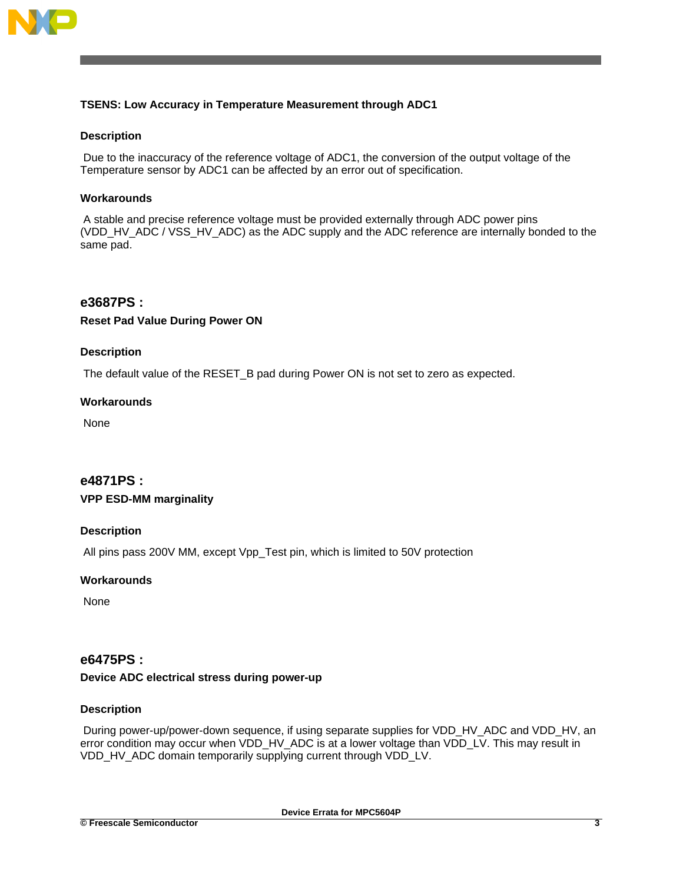

# **TSENS: Low Accuracy in Temperature Measurement through ADC1**

### **Description**

Due to the inaccuracy of the reference voltage of ADC1, the conversion of the output voltage of the Temperature sensor by ADC1 can be affected by an error out of specification.

### **Workarounds**

A stable and precise reference voltage must be provided externally through ADC power pins (VDD\_HV\_ADC / VSS\_HV\_ADC) as the ADC supply and the ADC reference are internally bonded to the same pad.

# **e3687PS :**

### **Reset Pad Value During Power ON**

### **Description**

The default value of the RESET\_B pad during Power ON is not set to zero as expected.

### **Workarounds**

None

# **e4871PS : VPP ESD-MM marginality**

### **Description**

All pins pass 200V MM, except Vpp\_Test pin, which is limited to 50V protection

### **Workarounds**

None

### **e6475PS :**

### **Device ADC electrical stress during power-up**

### **Description**

During power-up/power-down sequence, if using separate supplies for VDD\_HV\_ADC and VDD\_HV, an error condition may occur when VDD\_HV\_ADC is at a lower voltage than VDD\_LV. This may result in VDD\_HV\_ADC domain temporarily supplying current through VDD\_LV.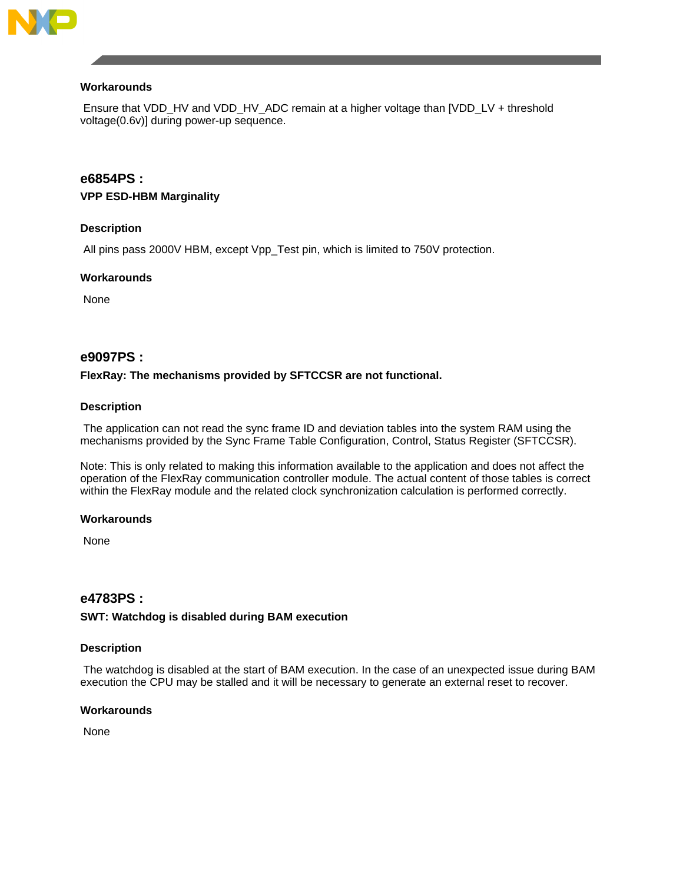

### **Workarounds**

Ensure that VDD\_HV and VDD\_HV\_ADC remain at a higher voltage than [VDD\_LV + threshold voltage(0.6v)] during power-up sequence.

# **e6854PS :**

### **VPP ESD-HBM Marginality**

# **Description**

All pins pass 2000V HBM, except Vpp\_Test pin, which is limited to 750V protection.

### **Workarounds**

None

# **e9097PS :**

### **FlexRay: The mechanisms provided by SFTCCSR are not functional.**

### **Description**

The application can not read the sync frame ID and deviation tables into the system RAM using the mechanisms provided by the Sync Frame Table Configuration, Control, Status Register (SFTCCSR).

Note: This is only related to making this information available to the application and does not affect the operation of the FlexRay communication controller module. The actual content of those tables is correct within the FlexRay module and the related clock synchronization calculation is performed correctly.

### **Workarounds**

None

# **e4783PS :**

### **SWT: Watchdog is disabled during BAM execution**

### **Description**

The watchdog is disabled at the start of BAM execution. In the case of an unexpected issue during BAM execution the CPU may be stalled and it will be necessary to generate an external reset to recover.

### **Workarounds**

None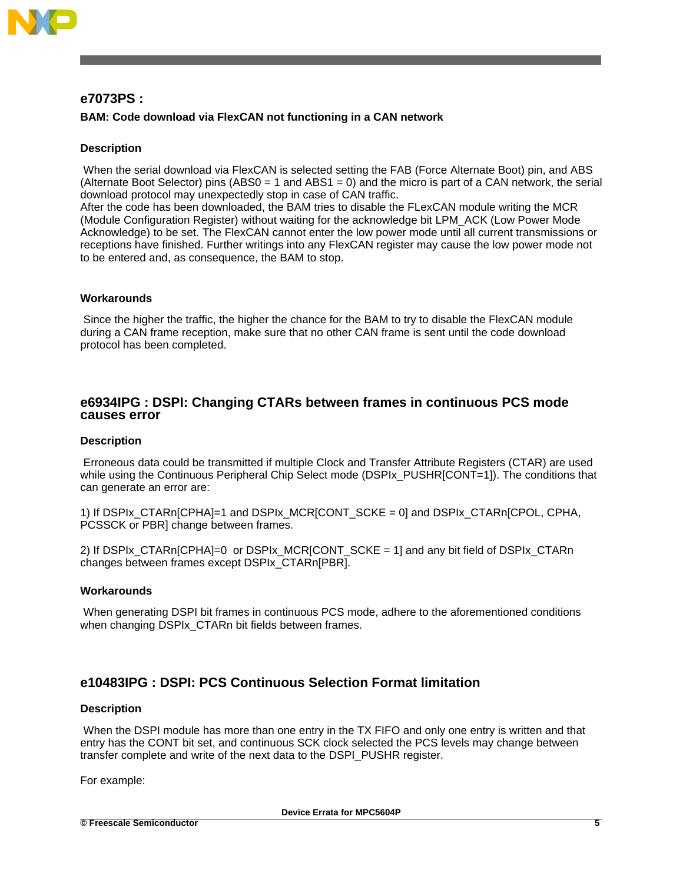

# **e7073PS :**

# **BAM: Code download via FlexCAN not functioning in a CAN network**

### **Description**

When the serial download via FlexCAN is selected setting the FAB (Force Alternate Boot) pin, and ABS (Alternate Boot Selector) pins (ABS0 = 1 and ABS1 = 0) and the micro is part of a CAN network, the serial download protocol may unexpectedly stop in case of CAN traffic.

After the code has been downloaded, the BAM tries to disable the FLexCAN module writing the MCR (Module Configuration Register) without waiting for the acknowledge bit LPM\_ACK (Low Power Mode Acknowledge) to be set. The FlexCAN cannot enter the low power mode until all current transmissions or receptions have finished. Further writings into any FlexCAN register may cause the low power mode not to be entered and, as consequence, the BAM to stop.

### **Workarounds**

Since the higher the traffic, the higher the chance for the BAM to try to disable the FlexCAN module during a CAN frame reception, make sure that no other CAN frame is sent until the code download protocol has been completed.

# **e6934IPG : DSPI: Changing CTARs between frames in continuous PCS mode causes error**

### **Description**

Erroneous data could be transmitted if multiple Clock and Transfer Attribute Registers (CTAR) are used while using the Continuous Peripheral Chip Select mode (DSPIx\_PUSHR[CONT=1]). The conditions that can generate an error are:

1) If DSPIx\_CTARn[CPHA]=1 and DSPIx\_MCR[CONT\_SCKE = 0] and DSPIx\_CTARn[CPOL, CPHA, PCSSCK or PBR] change between frames.

2) If DSPIx\_CTARn[CPHA]=0 or DSPIx\_MCR[CONT\_SCKE = 1] and any bit field of DSPIx\_CTARn changes between frames except DSPIx\_CTARn[PBR].

#### **Workarounds**

When generating DSPI bit frames in continuous PCS mode, adhere to the aforementioned conditions when changing DSPIx\_CTARn bit fields between frames.

# **e10483IPG : DSPI: PCS Continuous Selection Format limitation**

#### **Description**

When the DSPI module has more than one entry in the TX FIFO and only one entry is written and that entry has the CONT bit set, and continuous SCK clock selected the PCS levels may change between transfer complete and write of the next data to the DSPI\_PUSHR register.

For example:

**Device Errata for MPC5604P**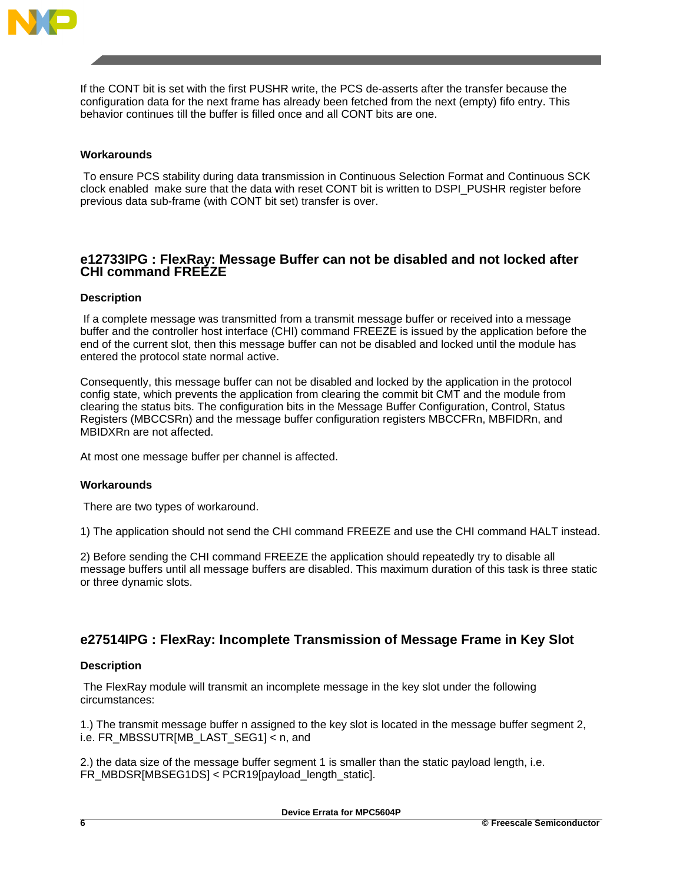

If the CONT bit is set with the first PUSHR write, the PCS de-asserts after the transfer because the configuration data for the next frame has already been fetched from the next (empty) fifo entry. This behavior continues till the buffer is filled once and all CONT bits are one.

### **Workarounds**

To ensure PCS stability during data transmission in Continuous Selection Format and Continuous SCK clock enabled make sure that the data with reset CONT bit is written to DSPI\_PUSHR register before previous data sub-frame (with CONT bit set) transfer is over.

# **e12733IPG : FlexRay: Message Buffer can not be disabled and not locked after CHI command FREEZE**

### **Description**

If a complete message was transmitted from a transmit message buffer or received into a message buffer and the controller host interface (CHI) command FREEZE is issued by the application before the end of the current slot, then this message buffer can not be disabled and locked until the module has entered the protocol state normal active.

Consequently, this message buffer can not be disabled and locked by the application in the protocol config state, which prevents the application from clearing the commit bit CMT and the module from clearing the status bits. The configuration bits in the Message Buffer Configuration, Control, Status Registers (MBCCSRn) and the message buffer configuration registers MBCCFRn, MBFIDRn, and MBIDXRn are not affected.

At most one message buffer per channel is affected.

### **Workarounds**

There are two types of workaround.

1) The application should not send the CHI command FREEZE and use the CHI command HALT instead.

2) Before sending the CHI command FREEZE the application should repeatedly try to disable all message buffers until all message buffers are disabled. This maximum duration of this task is three static or three dynamic slots.

# **e27514IPG : FlexRay: Incomplete Transmission of Message Frame in Key Slot**

### **Description**

The FlexRay module will transmit an incomplete message in the key slot under the following circumstances:

1.) The transmit message buffer n assigned to the key slot is located in the message buffer segment 2, i.e. FR\_MBSSUTRIMB\_LAST\_SEG1] < n, and

2.) the data size of the message buffer segment 1 is smaller than the static payload length, i.e. FR\_MBDSR[MBSEG1DS] < PCR19[payload\_length\_static].

**Device Errata for MPC5604P**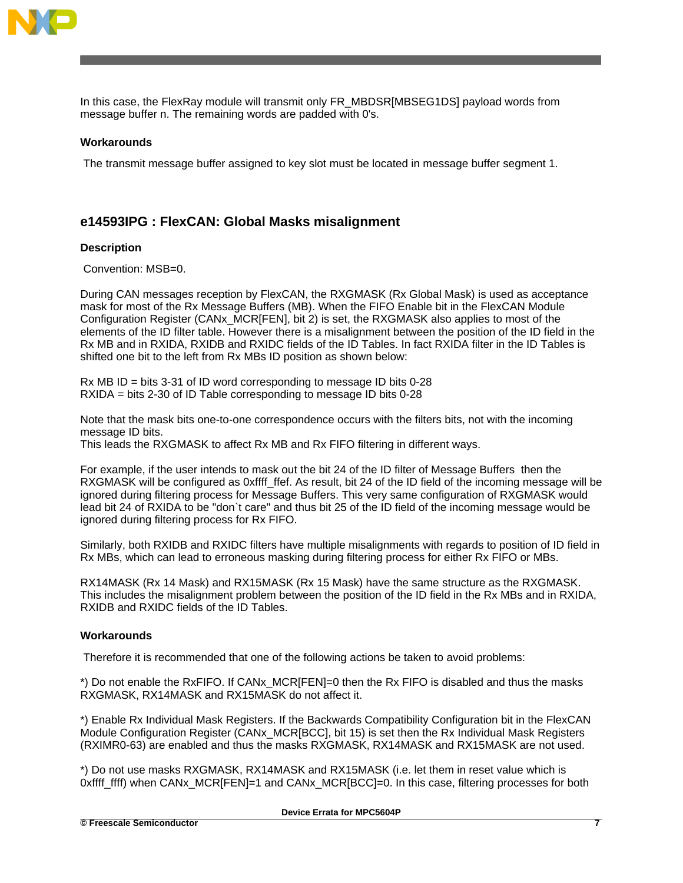

In this case, the FlexRay module will transmit only FR\_MBDSR[MBSEG1DS] payload words from message buffer n. The remaining words are padded with 0's.

### **Workarounds**

The transmit message buffer assigned to key slot must be located in message buffer segment 1.

# **e14593IPG : FlexCAN: Global Masks misalignment**

### **Description**

Convention: MSB=0.

During CAN messages reception by FlexCAN, the RXGMASK (Rx Global Mask) is used as acceptance mask for most of the Rx Message Buffers (MB). When the FIFO Enable bit in the FlexCAN Module Configuration Register (CANx\_MCR[FEN], bit 2) is set, the RXGMASK also applies to most of the elements of the ID filter table. However there is a misalignment between the position of the ID field in the Rx MB and in RXIDA, RXIDB and RXIDC fields of the ID Tables. In fact RXIDA filter in the ID Tables is shifted one bit to the left from Rx MBs ID position as shown below:

Rx MB ID = bits 3-31 of ID word corresponding to message ID bits 0-28 RXIDA = bits 2-30 of ID Table corresponding to message ID bits 0-28

Note that the mask bits one-to-one correspondence occurs with the filters bits, not with the incoming message ID bits.

This leads the RXGMASK to affect Rx MB and Rx FIFO filtering in different ways.

For example, if the user intends to mask out the bit 24 of the ID filter of Message Buffers then the RXGMASK will be configured as 0xffff ffef. As result, bit 24 of the ID field of the incoming message will be ignored during filtering process for Message Buffers. This very same configuration of RXGMASK would lead bit 24 of RXIDA to be "don`t care" and thus bit 25 of the ID field of the incoming message would be ignored during filtering process for Rx FIFO.

Similarly, both RXIDB and RXIDC filters have multiple misalignments with regards to position of ID field in Rx MBs, which can lead to erroneous masking during filtering process for either Rx FIFO or MBs.

RX14MASK (Rx 14 Mask) and RX15MASK (Rx 15 Mask) have the same structure as the RXGMASK. This includes the misalignment problem between the position of the ID field in the Rx MBs and in RXIDA, RXIDB and RXIDC fields of the ID Tables.

### **Workarounds**

Therefore it is recommended that one of the following actions be taken to avoid problems:

\*) Do not enable the RxFIFO. If CANx\_MCR[FEN]=0 then the Rx FIFO is disabled and thus the masks RXGMASK, RX14MASK and RX15MASK do not affect it.

\*) Enable Rx Individual Mask Registers. If the Backwards Compatibility Configuration bit in the FlexCAN Module Configuration Register (CANx\_MCR[BCC], bit 15) is set then the Rx Individual Mask Registers (RXIMR0-63) are enabled and thus the masks RXGMASK, RX14MASK and RX15MASK are not used.

\*) Do not use masks RXGMASK, RX14MASK and RX15MASK (i.e. let them in reset value which is 0xffff\_ffff) when CANx\_MCR[FEN]=1 and CANx\_MCR[BCC]=0. In this case, filtering processes for both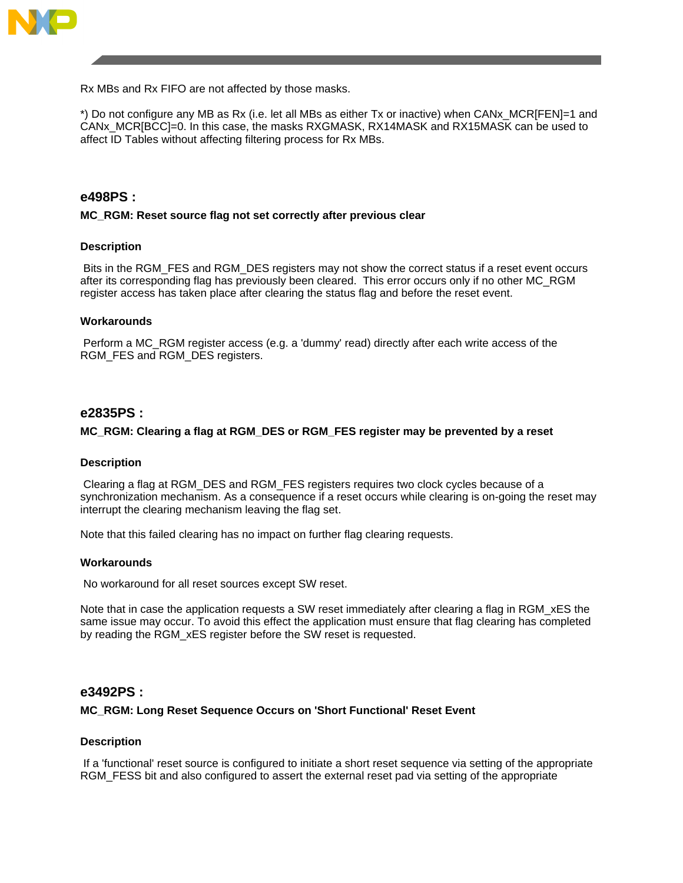

Rx MBs and Rx FIFO are not affected by those masks.

\*) Do not configure any MB as Rx (i.e. let all MBs as either Tx or inactive) when CANx\_MCR[FEN]=1 and CANx\_MCR[BCC]=0. In this case, the masks RXGMASK, RX14MASK and RX15MASK can be used to affect ID Tables without affecting filtering process for Rx MBs.

# **e498PS :**

### **MC\_RGM: Reset source flag not set correctly after previous clear**

### **Description**

Bits in the RGM\_FES and RGM\_DES registers may not show the correct status if a reset event occurs after its corresponding flag has previously been cleared. This error occurs only if no other MC\_RGM register access has taken place after clearing the status flag and before the reset event.

### **Workarounds**

Perform a MC\_RGM register access (e.g. a 'dummy' read) directly after each write access of the RGM\_FES and RGM\_DES registers.

### **e2835PS :**

### **MC\_RGM: Clearing a flag at RGM\_DES or RGM\_FES register may be prevented by a reset**

#### **Description**

Clearing a flag at RGM\_DES and RGM\_FES registers requires two clock cycles because of a synchronization mechanism. As a consequence if a reset occurs while clearing is on-going the reset may interrupt the clearing mechanism leaving the flag set.

Note that this failed clearing has no impact on further flag clearing requests.

#### **Workarounds**

No workaround for all reset sources except SW reset.

Note that in case the application requests a SW reset immediately after clearing a flag in RGM\_xES the same issue may occur. To avoid this effect the application must ensure that flag clearing has completed by reading the RGM\_xES register before the SW reset is requested.

### **e3492PS :**

#### **MC\_RGM: Long Reset Sequence Occurs on 'Short Functional' Reset Event**

### **Description**

If a 'functional' reset source is configured to initiate a short reset sequence via setting of the appropriate RGM\_FESS bit and also configured to assert the external reset pad via setting of the appropriate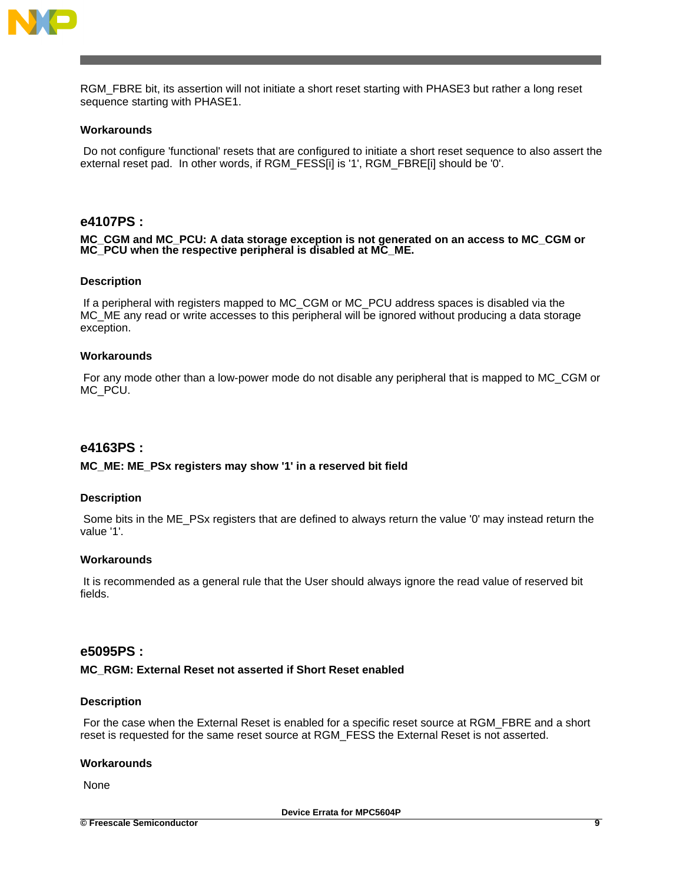

RGM\_FBRE bit, its assertion will not initiate a short reset starting with PHASE3 but rather a long reset sequence starting with PHASE1.

#### **Workarounds**

Do not configure 'functional' resets that are configured to initiate a short reset sequence to also assert the external reset pad. In other words, if RGM\_FESS[i] is '1', RGM\_FBRE[i] should be '0'.

# **e4107PS :**

**MC\_CGM and MC\_PCU: A data storage exception is not generated on an access to MC\_CGM or MC\_PCU when the respective peripheral is disabled at MC\_ME.**

#### **Description**

If a peripheral with registers mapped to MC\_CGM or MC\_PCU address spaces is disabled via the MC ME any read or write accesses to this peripheral will be ignored without producing a data storage exception.

#### **Workarounds**

For any mode other than a low-power mode do not disable any peripheral that is mapped to MC\_CGM or MC\_PCU.

### **e4163PS :**

#### **MC\_ME: ME\_PSx registers may show '1' in a reserved bit field**

#### **Description**

Some bits in the ME\_PSx registers that are defined to always return the value '0' may instead return the value '1'.

#### **Workarounds**

It is recommended as a general rule that the User should always ignore the read value of reserved bit fields.

### **e5095PS :**

#### **MC\_RGM: External Reset not asserted if Short Reset enabled**

#### **Description**

For the case when the External Reset is enabled for a specific reset source at RGM\_FBRE and a short reset is requested for the same reset source at RGM\_FESS the External Reset is not asserted.

#### **Workarounds**

None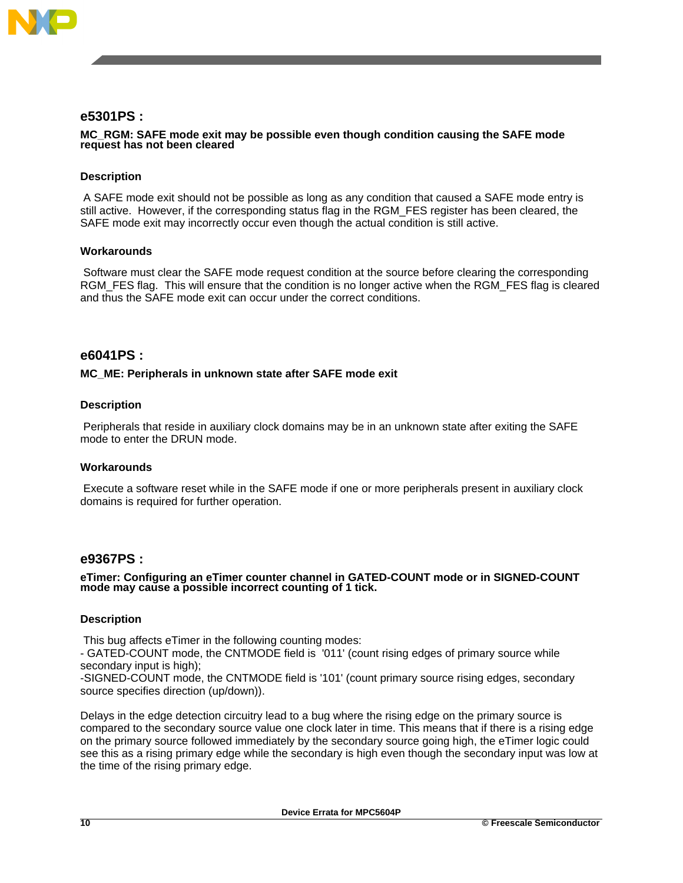

# **e5301PS :**

### **MC\_RGM: SAFE mode exit may be possible even though condition causing the SAFE mode request has not been cleared**

### **Description**

A SAFE mode exit should not be possible as long as any condition that caused a SAFE mode entry is still active. However, if the corresponding status flag in the RGM\_FES register has been cleared, the SAFE mode exit may incorrectly occur even though the actual condition is still active.

### **Workarounds**

Software must clear the SAFE mode request condition at the source before clearing the corresponding RGM\_FES flag. This will ensure that the condition is no longer active when the RGM\_FES flag is cleared and thus the SAFE mode exit can occur under the correct conditions.

# **e6041PS :**

### **MC\_ME: Peripherals in unknown state after SAFE mode exit**

### **Description**

Peripherals that reside in auxiliary clock domains may be in an unknown state after exiting the SAFE mode to enter the DRUN mode.

### **Workarounds**

Execute a software reset while in the SAFE mode if one or more peripherals present in auxiliary clock domains is required for further operation.

### **e9367PS :**

#### **eTimer: Configuring an eTimer counter channel in GATED-COUNT mode or in SIGNED-COUNT mode may cause a possible incorrect counting of 1 tick.**

### **Description**

This bug affects eTimer in the following counting modes:

- GATED-COUNT mode, the CNTMODE field is '011' (count rising edges of primary source while secondary input is high);

-SIGNED-COUNT mode, the CNTMODE field is '101' (count primary source rising edges, secondary source specifies direction (up/down)).

Delays in the edge detection circuitry lead to a bug where the rising edge on the primary source is compared to the secondary source value one clock later in time. This means that if there is a rising edge on the primary source followed immediately by the secondary source going high, the eTimer logic could see this as a rising primary edge while the secondary is high even though the secondary input was low at the time of the rising primary edge.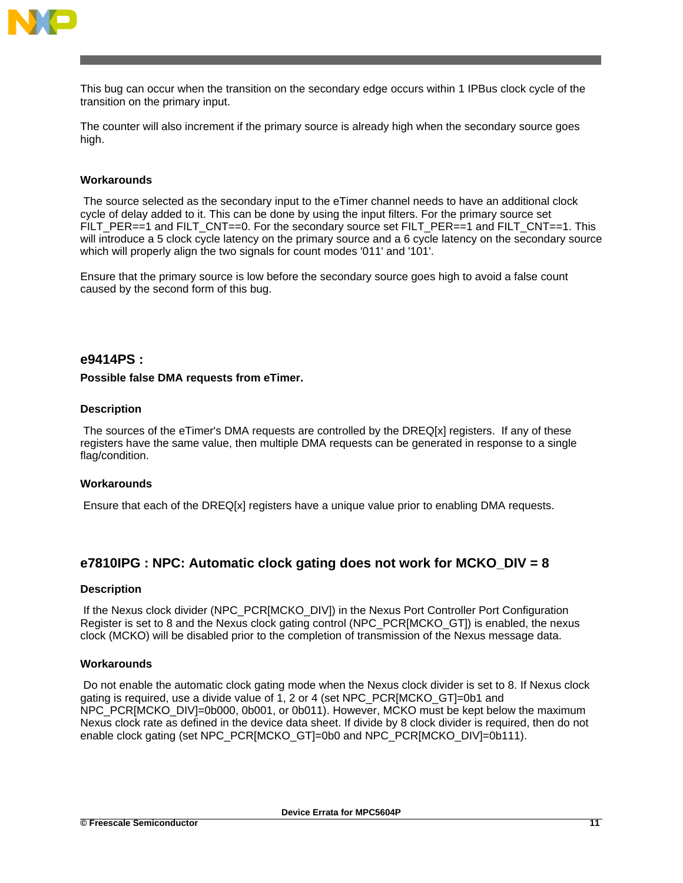

This bug can occur when the transition on the secondary edge occurs within 1 IPBus clock cycle of the transition on the primary input.

The counter will also increment if the primary source is already high when the secondary source goes high.

### **Workarounds**

The source selected as the secondary input to the eTimer channel needs to have an additional clock cycle of delay added to it. This can be done by using the input filters. For the primary source set FILT\_PER==1 and FILT\_CNT==0. For the secondary source set FILT\_PER==1 and FILT\_CNT==1. This will introduce a 5 clock cycle latency on the primary source and a 6 cycle latency on the secondary source which will properly align the two signals for count modes '011' and '101'.

Ensure that the primary source is low before the secondary source goes high to avoid a false count caused by the second form of this bug.

### **e9414PS :**

#### **Possible false DMA requests from eTimer.**

#### **Description**

The sources of the eTimer's DMA requests are controlled by the DREQ[x] registers. If any of these registers have the same value, then multiple DMA requests can be generated in response to a single flag/condition.

### **Workarounds**

Ensure that each of the DREQ[x] registers have a unique value prior to enabling DMA requests.

# **e7810IPG : NPC: Automatic clock gating does not work for MCKO\_DIV = 8**

#### **Description**

If the Nexus clock divider (NPC\_PCR[MCKO\_DIV]) in the Nexus Port Controller Port Configuration Register is set to 8 and the Nexus clock gating control (NPC\_PCR[MCKO\_GT]) is enabled, the nexus clock (MCKO) will be disabled prior to the completion of transmission of the Nexus message data.

### **Workarounds**

Do not enable the automatic clock gating mode when the Nexus clock divider is set to 8. If Nexus clock gating is required, use a divide value of 1, 2 or 4 (set NPC\_PCR[MCKO\_GT]=0b1 and NPC\_PCR[MCKO\_DIV]=0b000, 0b001, or 0b011). However, MCKO must be kept below the maximum Nexus clock rate as defined in the device data sheet. If divide by 8 clock divider is required, then do not enable clock gating (set NPC\_PCR[MCKO\_GT]=0b0 and NPC\_PCR[MCKO\_DIV]=0b111).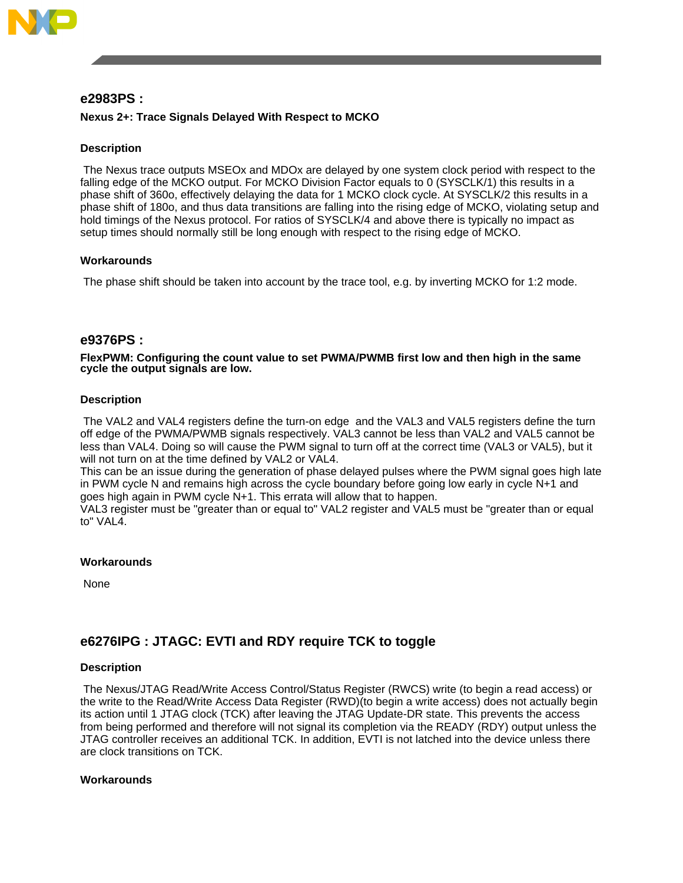

# **e2983PS :**

# **Nexus 2+: Trace Signals Delayed With Respect to MCKO**

### **Description**

The Nexus trace outputs MSEOx and MDOx are delayed by one system clock period with respect to the falling edge of the MCKO output. For MCKO Division Factor equals to 0 (SYSCLK/1) this results in a phase shift of 360o, effectively delaying the data for 1 MCKO clock cycle. At SYSCLK/2 this results in a phase shift of 180o, and thus data transitions are falling into the rising edge of MCKO, violating setup and hold timings of the Nexus protocol. For ratios of SYSCLK/4 and above there is typically no impact as setup times should normally still be long enough with respect to the rising edge of MCKO.

### **Workarounds**

The phase shift should be taken into account by the trace tool, e.g. by inverting MCKO for 1:2 mode.

# **e9376PS :**

**FlexPWM: Configuring the count value to set PWMA/PWMB first low and then high in the same cycle the output signals are low.**

### **Description**

The VAL2 and VAL4 registers define the turn-on edge and the VAL3 and VAL5 registers define the turn off edge of the PWMA/PWMB signals respectively. VAL3 cannot be less than VAL2 and VAL5 cannot be less than VAL4. Doing so will cause the PWM signal to turn off at the correct time (VAL3 or VAL5), but it will not turn on at the time defined by VAL2 or VAL4.

This can be an issue during the generation of phase delayed pulses where the PWM signal goes high late in PWM cycle N and remains high across the cycle boundary before going low early in cycle N+1 and goes high again in PWM cycle N+1. This errata will allow that to happen.

VAL3 register must be "greater than or equal to" VAL2 register and VAL5 must be "greater than or equal to" VAL4.

#### **Workarounds**

None

# **e6276IPG : JTAGC: EVTI and RDY require TCK to toggle**

#### **Description**

The Nexus/JTAG Read/Write Access Control/Status Register (RWCS) write (to begin a read access) or the write to the Read/Write Access Data Register (RWD)(to begin a write access) does not actually begin its action until 1 JTAG clock (TCK) after leaving the JTAG Update-DR state. This prevents the access from being performed and therefore will not signal its completion via the READY (RDY) output unless the JTAG controller receives an additional TCK. In addition, EVTI is not latched into the device unless there are clock transitions on TCK.

#### **Workarounds**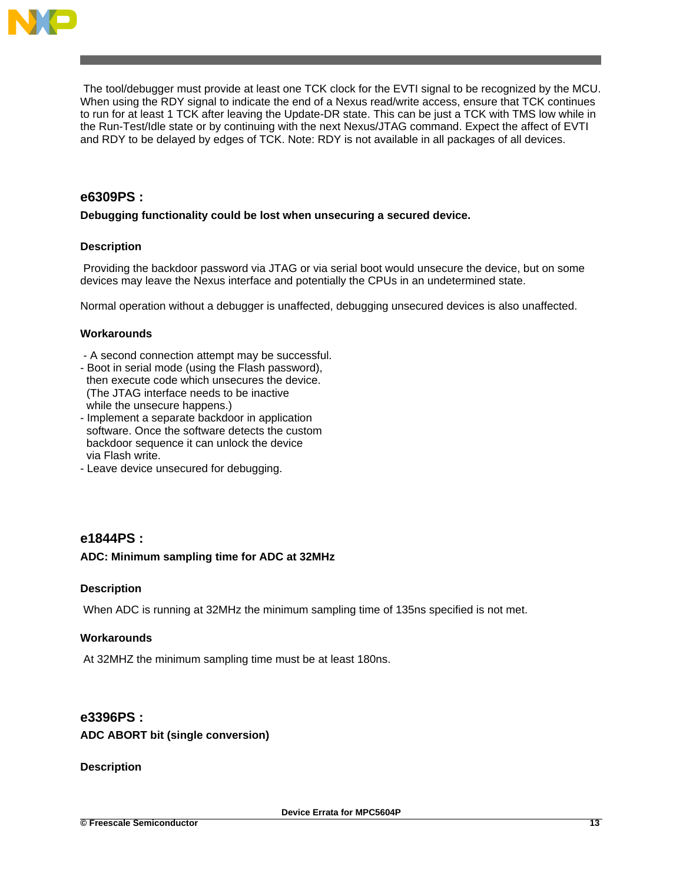

The tool/debugger must provide at least one TCK clock for the EVTI signal to be recognized by the MCU. When using the RDY signal to indicate the end of a Nexus read/write access, ensure that TCK continues to run for at least 1 TCK after leaving the Update-DR state. This can be just a TCK with TMS low while in the Run-Test/Idle state or by continuing with the next Nexus/JTAG command. Expect the affect of EVTI and RDY to be delayed by edges of TCK. Note: RDY is not available in all packages of all devices.

# **e6309PS :**

### **Debugging functionality could be lost when unsecuring a secured device.**

# **Description**

Providing the backdoor password via JTAG or via serial boot would unsecure the device, but on some devices may leave the Nexus interface and potentially the CPUs in an undetermined state.

Normal operation without a debugger is unaffected, debugging unsecured devices is also unaffected.

### **Workarounds**

- A second connection attempt may be successful.
- Boot in serial mode (using the Flash password), then execute code which unsecures the device. (The JTAG interface needs to be inactive while the unsecure happens.)
- Implement a separate backdoor in application software. Once the software detects the custom backdoor sequence it can unlock the device via Flash write.
- Leave device unsecured for debugging.

# **e1844PS :**

### **ADC: Minimum sampling time for ADC at 32MHz**

### **Description**

When ADC is running at 32MHz the minimum sampling time of 135ns specified is not met.

### **Workarounds**

At 32MHZ the minimum sampling time must be at least 180ns.

# **e3396PS :**

### **ADC ABORT bit (single conversion)**

**Description**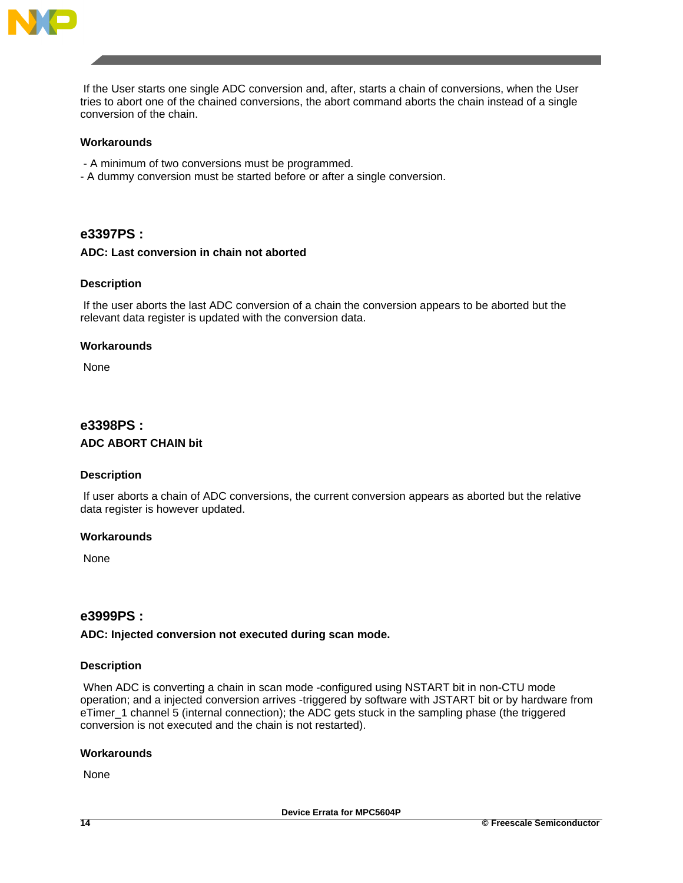

If the User starts one single ADC conversion and, after, starts a chain of conversions, when the User tries to abort one of the chained conversions, the abort command aborts the chain instead of a single conversion of the chain.

### **Workarounds**

- A minimum of two conversions must be programmed.
- A dummy conversion must be started before or after a single conversion.

# **e3397PS :**

# **ADC: Last conversion in chain not aborted**

### **Description**

If the user aborts the last ADC conversion of a chain the conversion appears to be aborted but the relevant data register is updated with the conversion data.

#### **Workarounds**

None

# **e3398PS :**

### **ADC ABORT CHAIN bit**

### **Description**

If user aborts a chain of ADC conversions, the current conversion appears as aborted but the relative data register is however updated.

### **Workarounds**

None

# **e3999PS :**

#### **ADC: Injected conversion not executed during scan mode.**

#### **Description**

When ADC is converting a chain in scan mode -configured using NSTART bit in non-CTU mode operation; and a injected conversion arrives -triggered by software with JSTART bit or by hardware from eTimer\_1 channel 5 (internal connection); the ADC gets stuck in the sampling phase (the triggered conversion is not executed and the chain is not restarted).

#### **Workarounds**

None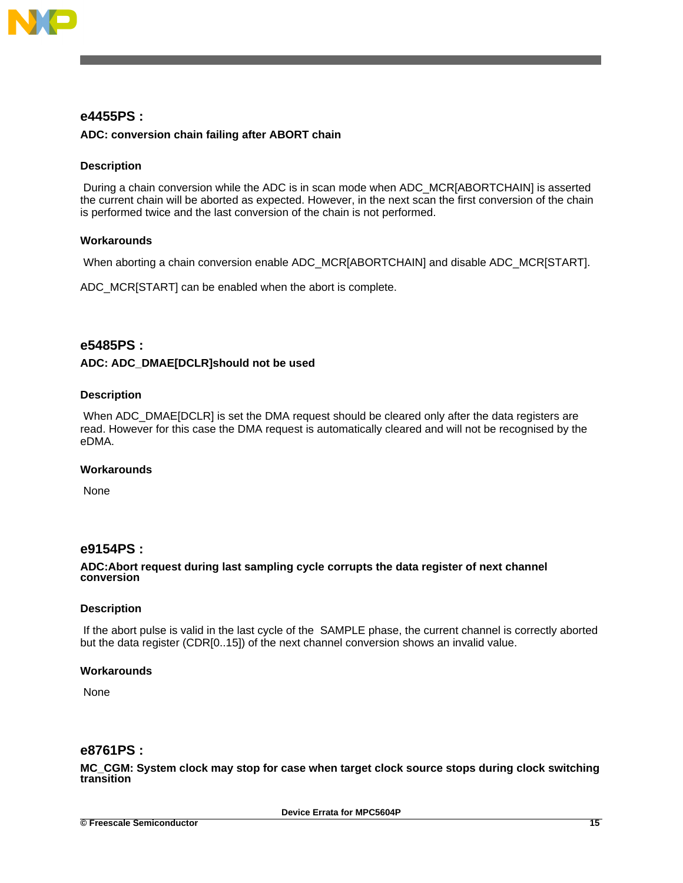

# **e4455PS :**

### **ADC: conversion chain failing after ABORT chain**

### **Description**

During a chain conversion while the ADC is in scan mode when ADC\_MCR[ABORTCHAIN] is asserted the current chain will be aborted as expected. However, in the next scan the first conversion of the chain is performed twice and the last conversion of the chain is not performed.

### **Workarounds**

When aborting a chain conversion enable ADC\_MCR[ABORTCHAIN] and disable ADC\_MCR[START].

ADC\_MCR[START] can be enabled when the abort is complete.

# **e5485PS :**

### **ADC: ADC\_DMAE[DCLR]should not be used**

### **Description**

When ADC\_DMAE[DCLR] is set the DMA request should be cleared only after the data registers are read. However for this case the DMA request is automatically cleared and will not be recognised by the eDMA.

### **Workarounds**

None

# **e9154PS :**

#### **ADC:Abort request during last sampling cycle corrupts the data register of next channel conversion**

#### **Description**

If the abort pulse is valid in the last cycle of the SAMPLE phase, the current channel is correctly aborted but the data register (CDR[0..15]) of the next channel conversion shows an invalid value.

#### **Workarounds**

None

# **e8761PS :**

**MC\_CGM: System clock may stop for case when target clock source stops during clock switching transition**

**Device Errata for MPC5604P**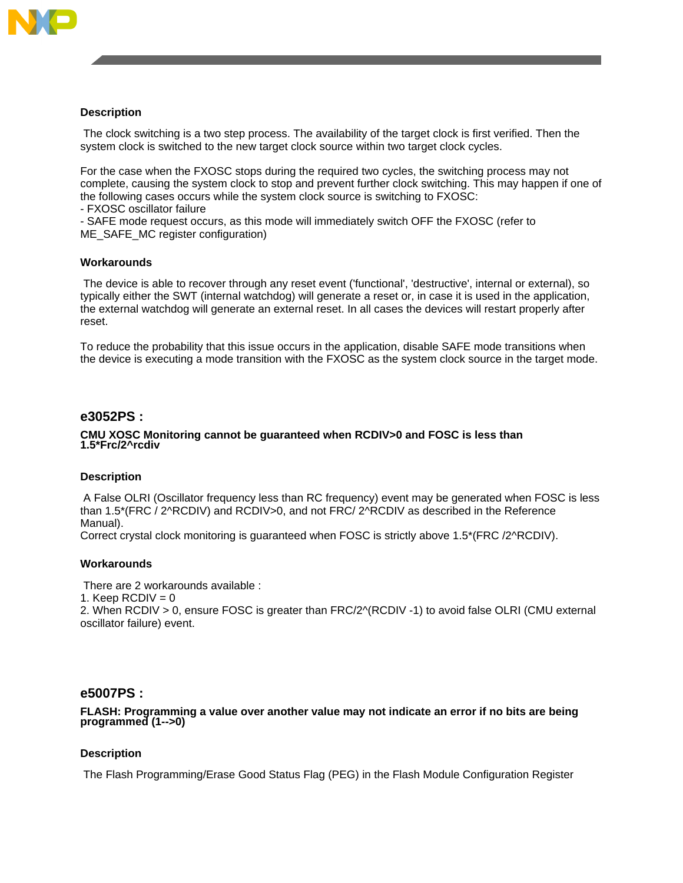

### **Description**

The clock switching is a two step process. The availability of the target clock is first verified. Then the system clock is switched to the new target clock source within two target clock cycles.

For the case when the FXOSC stops during the required two cycles, the switching process may not complete, causing the system clock to stop and prevent further clock switching. This may happen if one of the following cases occurs while the system clock source is switching to FXOSC:

- FXOSC oscillator failure

- SAFE mode request occurs, as this mode will immediately switch OFF the FXOSC (refer to ME\_SAFE\_MC register configuration)

### **Workarounds**

The device is able to recover through any reset event ('functional', 'destructive', internal or external), so typically either the SWT (internal watchdog) will generate a reset or, in case it is used in the application, the external watchdog will generate an external reset. In all cases the devices will restart properly after reset.

To reduce the probability that this issue occurs in the application, disable SAFE mode transitions when the device is executing a mode transition with the FXOSC as the system clock source in the target mode.

# **e3052PS :**

### **CMU XOSC Monitoring cannot be guaranteed when RCDIV>0 and FOSC is less than 1.5\*Frc/2^rcdiv**

### **Description**

A False OLRI (Oscillator frequency less than RC frequency) event may be generated when FOSC is less than 1.5\*(FRC / 2^RCDIV) and RCDIV>0, and not FRC/ 2^RCDIV as described in the Reference Manual).

Correct crystal clock monitoring is guaranteed when FOSC is strictly above 1.5\*(FRC /2^RCDIV).

### **Workarounds**

There are 2 workarounds available :

1. Keep  $RCDIV = 0$ 

2. When RCDIV > 0, ensure FOSC is greater than FRC/2^(RCDIV -1) to avoid false OLRI (CMU external oscillator failure) event.

# **e5007PS :**

**FLASH: Programming a value over another value may not indicate an error if no bits are being programmed (1-->0)**

### **Description**

The Flash Programming/Erase Good Status Flag (PEG) in the Flash Module Configuration Register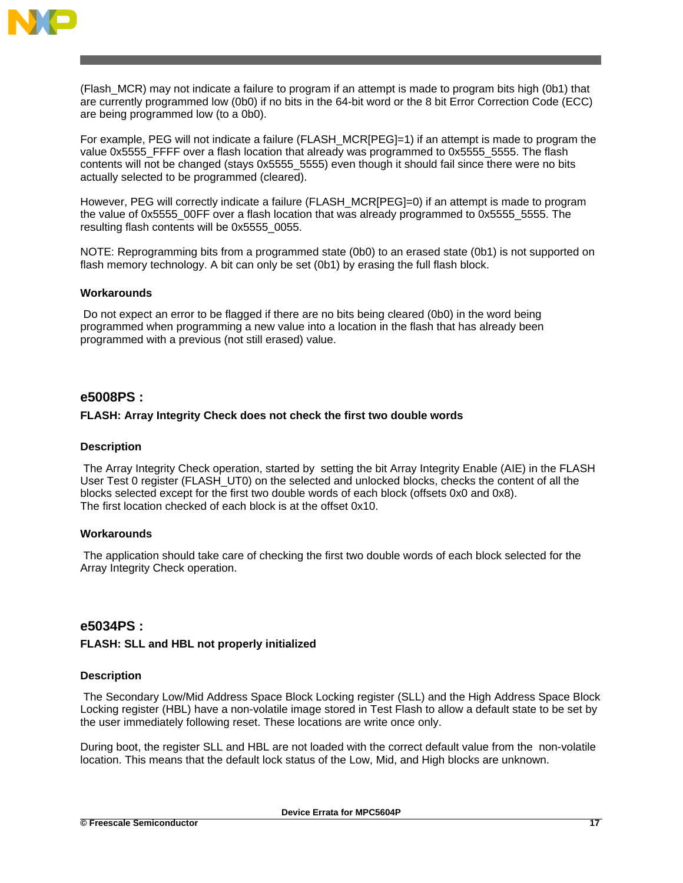

(Flash\_MCR) may not indicate a failure to program if an attempt is made to program bits high (0b1) that are currently programmed low (0b0) if no bits in the 64-bit word or the 8 bit Error Correction Code (ECC) are being programmed low (to a 0b0).

For example, PEG will not indicate a failure (FLASH\_MCR[PEG]=1) if an attempt is made to program the value 0x5555 FFFF over a flash location that already was programmed to 0x5555 5555. The flash contents will not be changed (stays 0x5555\_5555) even though it should fail since there were no bits actually selected to be programmed (cleared).

However, PEG will correctly indicate a failure (FLASH\_MCR[PEG]=0) if an attempt is made to program the value of 0x5555\_00FF over a flash location that was already programmed to 0x5555\_5555. The resulting flash contents will be 0x5555\_0055.

NOTE: Reprogramming bits from a programmed state (0b0) to an erased state (0b1) is not supported on flash memory technology. A bit can only be set (0b1) by erasing the full flash block.

### **Workarounds**

Do not expect an error to be flagged if there are no bits being cleared (0b0) in the word being programmed when programming a new value into a location in the flash that has already been programmed with a previous (not still erased) value.

# **e5008PS :**

### **FLASH: Array Integrity Check does not check the first two double words**

### **Description**

The Array Integrity Check operation, started by setting the bit Array Integrity Enable (AIE) in the FLASH User Test 0 register (FLASH\_UT0) on the selected and unlocked blocks, checks the content of all the blocks selected except for the first two double words of each block (offsets 0x0 and 0x8). The first location checked of each block is at the offset 0x10.

#### **Workarounds**

The application should take care of checking the first two double words of each block selected for the Array Integrity Check operation.

### **e5034PS :**

### **FLASH: SLL and HBL not properly initialized**

#### **Description**

The Secondary Low/Mid Address Space Block Locking register (SLL) and the High Address Space Block Locking register (HBL) have a non-volatile image stored in Test Flash to allow a default state to be set by the user immediately following reset. These locations are write once only.

During boot, the register SLL and HBL are not loaded with the correct default value from the non-volatile location. This means that the default lock status of the Low, Mid, and High blocks are unknown.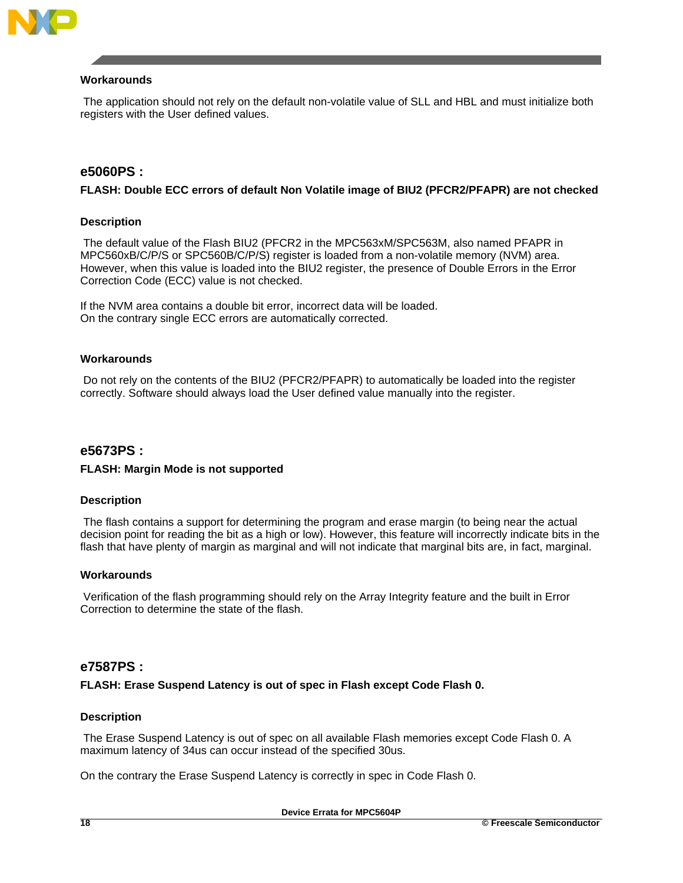

### **Workarounds**

The application should not rely on the default non-volatile value of SLL and HBL and must initialize both registers with the User defined values.

# **e5060PS :**

### **FLASH: Double ECC errors of default Non Volatile image of BIU2 (PFCR2/PFAPR) are not checked**

### **Description**

The default value of the Flash BIU2 (PFCR2 in the MPC563xM/SPC563M, also named PFAPR in MPC560xB/C/P/S or SPC560B/C/P/S) register is loaded from a non-volatile memory (NVM) area. However, when this value is loaded into the BIU2 register, the presence of Double Errors in the Error Correction Code (ECC) value is not checked.

If the NVM area contains a double bit error, incorrect data will be loaded. On the contrary single ECC errors are automatically corrected.

### **Workarounds**

Do not rely on the contents of the BIU2 (PFCR2/PFAPR) to automatically be loaded into the register correctly. Software should always load the User defined value manually into the register.

### **e5673PS :**

### **FLASH: Margin Mode is not supported**

### **Description**

The flash contains a support for determining the program and erase margin (to being near the actual decision point for reading the bit as a high or low). However, this feature will incorrectly indicate bits in the flash that have plenty of margin as marginal and will not indicate that marginal bits are, in fact, marginal.

#### **Workarounds**

Verification of the flash programming should rely on the Array Integrity feature and the built in Error Correction to determine the state of the flash.

# **e7587PS :**

**FLASH: Erase Suspend Latency is out of spec in Flash except Code Flash 0.**

### **Description**

The Erase Suspend Latency is out of spec on all available Flash memories except Code Flash 0. A maximum latency of 34us can occur instead of the specified 30us.

On the contrary the Erase Suspend Latency is correctly in spec in Code Flash 0.

**Device Errata for MPC5604P**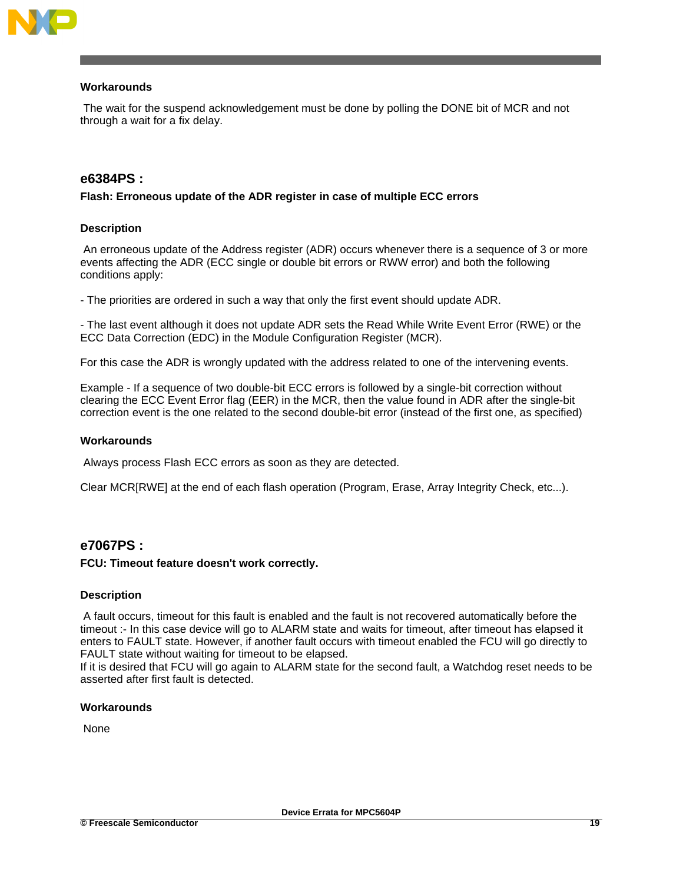

### **Workarounds**

The wait for the suspend acknowledgement must be done by polling the DONE bit of MCR and not through a wait for a fix delay.

# **e6384PS :**

### **Flash: Erroneous update of the ADR register in case of multiple ECC errors**

#### **Description**

An erroneous update of the Address register (ADR) occurs whenever there is a sequence of 3 or more events affecting the ADR (ECC single or double bit errors or RWW error) and both the following conditions apply:

- The priorities are ordered in such a way that only the first event should update ADR.

- The last event although it does not update ADR sets the Read While Write Event Error (RWE) or the ECC Data Correction (EDC) in the Module Configuration Register (MCR).

For this case the ADR is wrongly updated with the address related to one of the intervening events.

Example - If a sequence of two double-bit ECC errors is followed by a single-bit correction without clearing the ECC Event Error flag (EER) in the MCR, then the value found in ADR after the single-bit correction event is the one related to the second double-bit error (instead of the first one, as specified)

#### **Workarounds**

Always process Flash ECC errors as soon as they are detected.

Clear MCR[RWE] at the end of each flash operation (Program, Erase, Array Integrity Check, etc...).

# **e7067PS :**

### **FCU: Timeout feature doesn't work correctly.**

### **Description**

A fault occurs, timeout for this fault is enabled and the fault is not recovered automatically before the timeout :- In this case device will go to ALARM state and waits for timeout, after timeout has elapsed it enters to FAULT state. However, if another fault occurs with timeout enabled the FCU will go directly to FAULT state without waiting for timeout to be elapsed.

If it is desired that FCU will go again to ALARM state for the second fault, a Watchdog reset needs to be asserted after first fault is detected.

#### **Workarounds**

None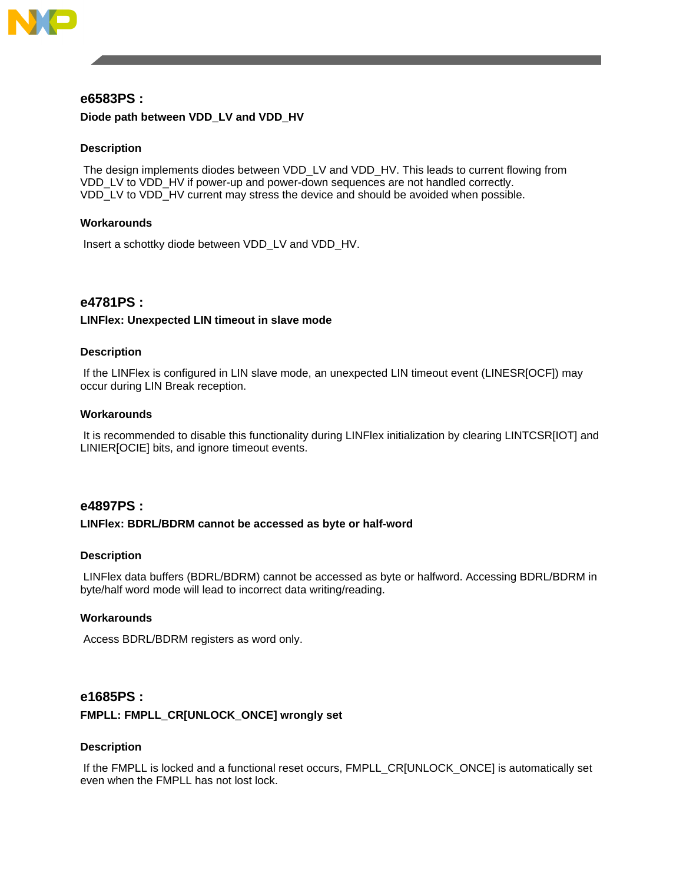

# **e6583PS : Diode path between VDD\_LV and VDD\_HV**

### **Description**

The design implements diodes between VDD\_LV and VDD\_HV. This leads to current flowing from VDD\_LV to VDD\_HV if power-up and power-down sequences are not handled correctly. VDD\_LV to VDD\_HV current may stress the device and should be avoided when possible.

### **Workarounds**

Insert a schottky diode between VDD\_LV and VDD\_HV.

# **e4781PS :**

### **LINFlex: Unexpected LIN timeout in slave mode**

### **Description**

If the LINFlex is configured in LIN slave mode, an unexpected LIN timeout event (LINESR[OCF]) may occur during LIN Break reception.

### **Workarounds**

It is recommended to disable this functionality during LINFlex initialization by clearing LINTCSR[IOT] and LINIER[OCIE] bits, and ignore timeout events.

# **e4897PS :**

### **LINFlex: BDRL/BDRM cannot be accessed as byte or half-word**

### **Description**

LINFlex data buffers (BDRL/BDRM) cannot be accessed as byte or halfword. Accessing BDRL/BDRM in byte/half word mode will lead to incorrect data writing/reading.

### **Workarounds**

Access BDRL/BDRM registers as word only.

### **e1685PS :**

### **FMPLL: FMPLL\_CR[UNLOCK\_ONCE] wrongly set**

### **Description**

If the FMPLL is locked and a functional reset occurs, FMPLL\_CR[UNLOCK\_ONCE] is automatically set even when the FMPLL has not lost lock.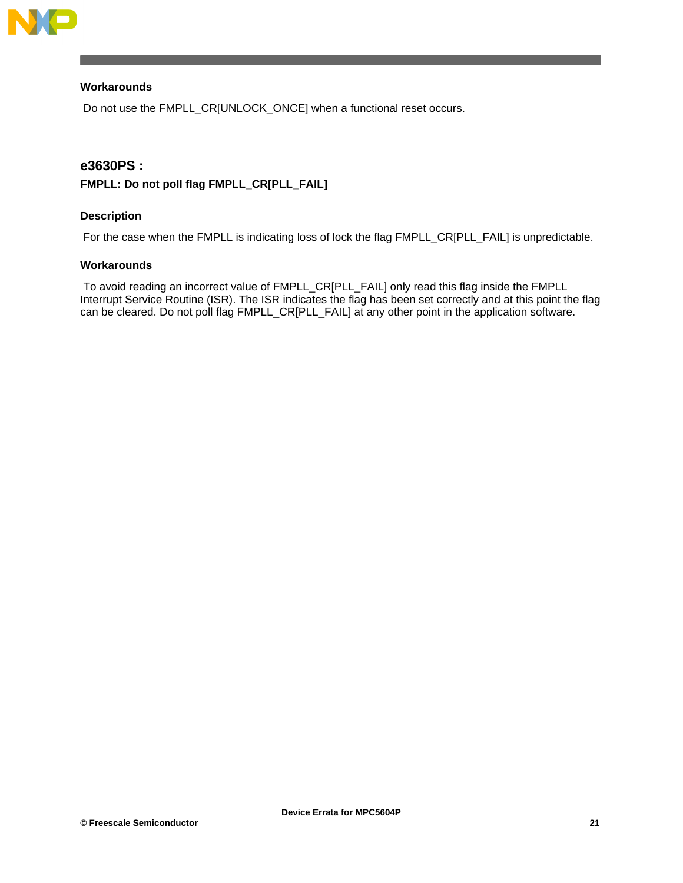

# **Workarounds**

Do not use the FMPLL\_CR[UNLOCK\_ONCE] when a functional reset occurs.

# **e3630PS :**

# **FMPLL: Do not poll flag FMPLL\_CR[PLL\_FAIL]**

# **Description**

For the case when the FMPLL is indicating loss of lock the flag FMPLL\_CR[PLL\_FAIL] is unpredictable.

### **Workarounds**

To avoid reading an incorrect value of FMPLL\_CR[PLL\_FAIL] only read this flag inside the FMPLL Interrupt Service Routine (ISR). The ISR indicates the flag has been set correctly and at this point the flag can be cleared. Do not poll flag FMPLL\_CR[PLL\_FAIL] at any other point in the application software.